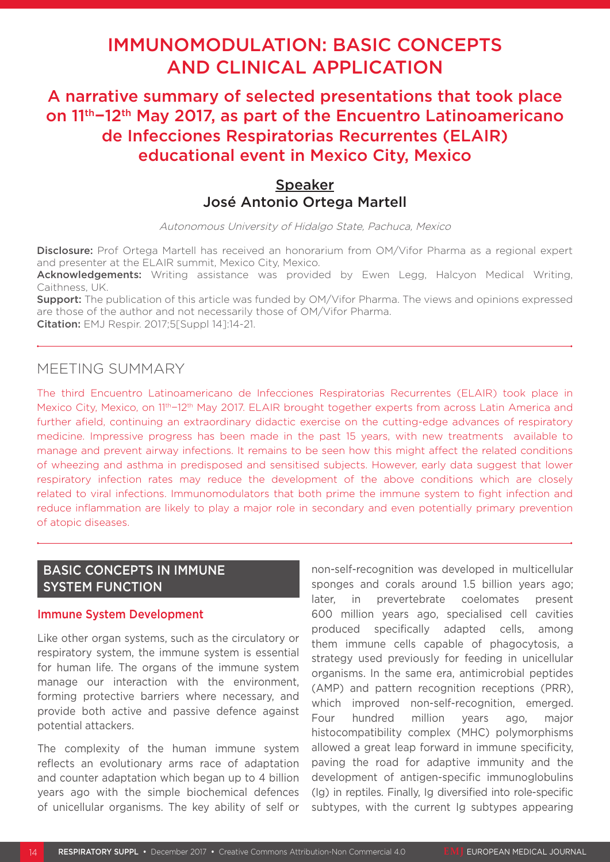# IMMUNOMODULATION: BASIC CONCEPTS AND CLINICAL APPLICATION

A narrative summary of selected presentations that took place on 11th−12th May 2017, as part of the Encuentro Latinoamericano de Infecciones Respiratorias Recurrentes (ELAIR) educational event in Mexico City, Mexico

# Speaker José Antonio Ortega Martell

Autonomous University of Hidalgo State, Pachuca, Mexico

Disclosure: Prof Ortega Martell has received an honorarium from OM/Vifor Pharma as a regional expert and presenter at the ELAIR summit, Mexico City, Mexico.

Acknowledgements: Writing assistance was provided by Ewen Legg, Halcyon Medical Writing, Caithness, UK.

**Support:** The publication of this article was funded by OM/Vifor Pharma. The views and opinions expressed are those of the author and not necessarily those of OM/Vifor Pharma.

Citation: EMJ Respir. 2017;5[Suppl 14]:14-21.

# MEETING SUMMARY

The third Encuentro Latinoamericano de Infecciones Respiratorias Recurrentes (ELAIR) took place in Mexico City, Mexico, on 1<sup>1th–12th</sup> May 2017. ELAIR brought together experts from across Latin America and further afield, continuing an extraordinary didactic exercise on the cutting-edge advances of respiratory medicine. Impressive progress has been made in the past 15 years, with new treatments available to manage and prevent airway infections. It remains to be seen how this might affect the related conditions of wheezing and asthma in predisposed and sensitised subjects. However, early data suggest that lower respiratory infection rates may reduce the development of the above conditions which are closely related to viral infections. Immunomodulators that both prime the immune system to fight infection and reduce inflammation are likely to play a major role in secondary and even potentially primary prevention of atopic diseases.

# BASIC CONCEPTS IN IMMUNE SYSTEM FUNCTION

#### Immune System Development

Like other organ systems, such as the circulatory or respiratory system, the immune system is essential for human life. The organs of the immune system manage our interaction with the environment, forming protective barriers where necessary, and provide both active and passive defence against potential attackers.

The complexity of the human immune system reflects an evolutionary arms race of adaptation and counter adaptation which began up to 4 billion years ago with the simple biochemical defences of unicellular organisms. The key ability of self or non-self-recognition was developed in multicellular sponges and corals around 1.5 billion years ago; later, in prevertebrate coelomates present 600 million years ago, specialised cell cavities produced specifically adapted cells, among them immune cells capable of phagocytosis, a strategy used previously for feeding in unicellular organisms. In the same era, antimicrobial peptides (AMP) and pattern recognition receptions (PRR), which improved non-self-recognition, emerged. Four hundred million years ago, major histocompatibility complex (MHC) polymorphisms allowed a great leap forward in immune specificity, paving the road for adaptive immunity and the development of antigen-specific immunoglobulins (Ig) in reptiles. Finally, Ig diversified into role-specific subtypes, with the current Ig subtypes appearing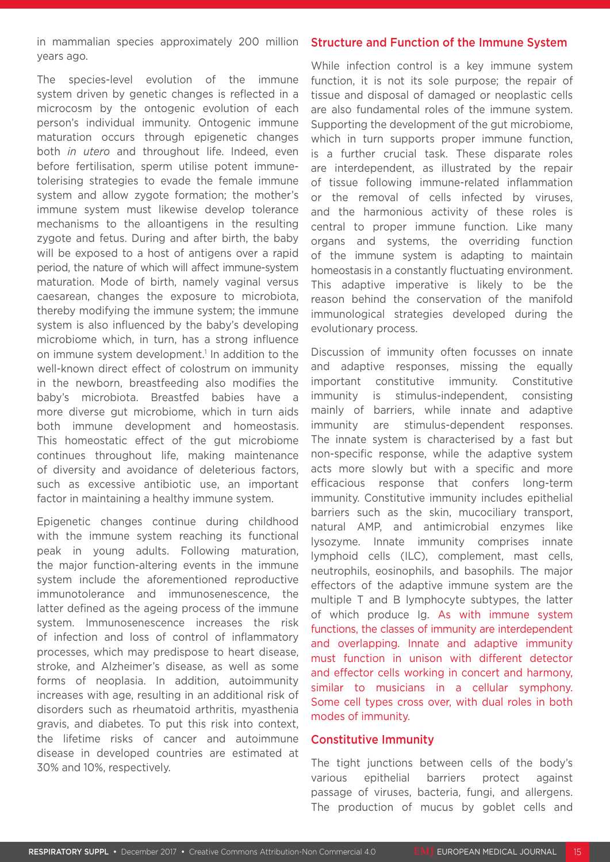in mammalian species approximately 200 million years ago.

The species-level evolution of the immune system driven by genetic changes is reflected in a microcosm by the ontogenic evolution of each person's individual immunity. Ontogenic immune maturation occurs through epigenetic changes both *in utero* and throughout life. Indeed, even before fertilisation, sperm utilise potent immunetolerising strategies to evade the female immune system and allow zygote formation; the mother's immune system must likewise develop tolerance mechanisms to the alloantigens in the resulting zygote and fetus. During and after birth, the baby will be exposed to a host of antigens over a rapid period, the nature of which will affect immune-system maturation. Mode of birth, namely vaginal versus caesarean, changes the exposure to microbiota, thereby modifying the immune system; the immune system is also influenced by the baby's developing microbiome which, in turn, has a strong influence on immune system development.<sup>1</sup> In addition to the well-known direct effect of colostrum on immunity in the newborn, breastfeeding also modifies the baby's microbiota. Breastfed babies have a more diverse gut microbiome, which in turn aids both immune development and homeostasis. This homeostatic effect of the gut microbiome continues throughout life, making maintenance of diversity and avoidance of deleterious factors, such as excessive antibiotic use, an important factor in maintaining a healthy immune system.

Epigenetic changes continue during childhood with the immune system reaching its functional peak in young adults. Following maturation, the major function-altering events in the immune system include the aforementioned reproductive immunotolerance and immunosenescence, the latter defined as the ageing process of the immune system. Immunosenescence increases the risk of infection and loss of control of inflammatory processes, which may predispose to heart disease, stroke, and Alzheimer's disease, as well as some forms of neoplasia. In addition, autoimmunity increases with age, resulting in an additional risk of disorders such as rheumatoid arthritis, myasthenia gravis, and diabetes. To put this risk into context, the lifetime risks of cancer and autoimmune disease in developed countries are estimated at 30% and 10%, respectively.

#### Structure and Function of the Immune System

While infection control is a key immune system function, it is not its sole purpose; the repair of tissue and disposal of damaged or neoplastic cells are also fundamental roles of the immune system. Supporting the development of the gut microbiome, which in turn supports proper immune function, is a further crucial task. These disparate roles are interdependent, as illustrated by the repair of tissue following immune-related inflammation or the removal of cells infected by viruses, and the harmonious activity of these roles is central to proper immune function. Like many organs and systems, the overriding function of the immune system is adapting to maintain homeostasis in a constantly fluctuating environment. This adaptive imperative is likely to be the reason behind the conservation of the manifold immunological strategies developed during the evolutionary process.

Discussion of immunity often focusses on innate and adaptive responses, missing the equally important constitutive immunity. Constitutive immunity is stimulus-independent, consisting mainly of barriers, while innate and adaptive immunity are stimulus-dependent responses. The innate system is characterised by a fast but non-specific response, while the adaptive system acts more slowly but with a specific and more efficacious response that confers long-term immunity. Constitutive immunity includes epithelial barriers such as the skin, mucociliary transport, natural AMP, and antimicrobial enzymes like lysozyme. Innate immunity comprises innate lymphoid cells (ILC), complement, mast cells, neutrophils, eosinophils, and basophils. The major effectors of the adaptive immune system are the multiple T and B lymphocyte subtypes, the latter of which produce Ig. As with immune system functions, the classes of immunity are interdependent and overlapping. Innate and adaptive immunity must function in unison with different detector and effector cells working in concert and harmony, similar to musicians in a cellular symphony. Some cell types cross over, with dual roles in both modes of immunity.

### Constitutive Immunity

The tight junctions between cells of the body's various epithelial barriers protect against passage of viruses, bacteria, fungi, and allergens. The production of mucus by goblet cells and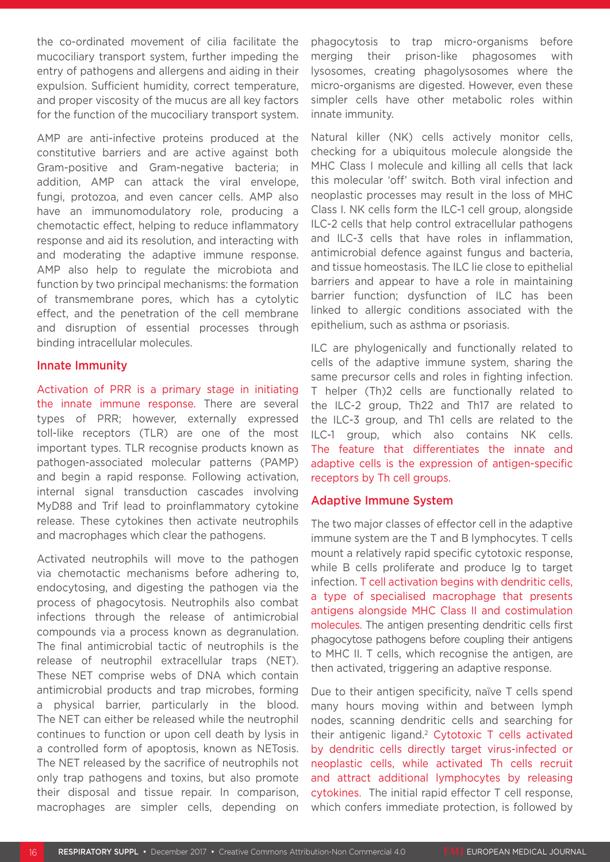the co-ordinated movement of cilia facilitate the mucociliary transport system, further impeding the entry of pathogens and allergens and aiding in their expulsion. Sufficient humidity, correct temperature, and proper viscosity of the mucus are all key factors for the function of the mucociliary transport system.

AMP are anti-infective proteins produced at the constitutive barriers and are active against both Gram-positive and Gram-negative bacteria; in addition, AMP can attack the viral envelope, fungi, protozoa, and even cancer cells. AMP also have an immunomodulatory role, producing a chemotactic effect, helping to reduce inflammatory response and aid its resolution, and interacting with and moderating the adaptive immune response. AMP also help to regulate the microbiota and function by two principal mechanisms: the formation of transmembrane pores, which has a cytolytic effect, and the penetration of the cell membrane and disruption of essential processes through binding intracellular molecules.

#### Innate Immunity

Activation of PRR is a primary stage in initiating the innate immune response. There are several types of PRR; however, externally expressed toll-like receptors (TLR) are one of the most important types. TLR recognise products known as pathogen-associated molecular patterns (PAMP) and begin a rapid response. Following activation, internal signal transduction cascades involving MyD88 and Trif lead to proinflammatory cytokine release. These cytokines then activate neutrophils and macrophages which clear the pathogens.

Activated neutrophils will move to the pathogen via chemotactic mechanisms before adhering to, endocytosing, and digesting the pathogen via the process of phagocytosis. Neutrophils also combat infections through the release of antimicrobial compounds via a process known as degranulation. The final antimicrobial tactic of neutrophils is the release of neutrophil extracellular traps (NET). These NET comprise webs of DNA which contain antimicrobial products and trap microbes, forming a physical barrier, particularly in the blood. The NET can either be released while the neutrophil continues to function or upon cell death by lysis in a controlled form of apoptosis, known as NETosis. The NET released by the sacrifice of neutrophils not only trap pathogens and toxins, but also promote their disposal and tissue repair. In comparison, macrophages are simpler cells, depending on

phagocytosis to trap micro-organisms before merging their prison-like phagosomes with lysosomes, creating phagolysosomes where the micro-organisms are digested. However, even these simpler cells have other metabolic roles within innate immunity.

Natural killer (NK) cells actively monitor cells, checking for a ubiquitous molecule alongside the MHC Class I molecule and killing all cells that lack this molecular 'off' switch. Both viral infection and neoplastic processes may result in the loss of MHC Class I. NK cells form the ILC-1 cell group, alongside ILC-2 cells that help control extracellular pathogens and ILC-3 cells that have roles in inflammation, antimicrobial defence against fungus and bacteria, and tissue homeostasis. The ILC lie close to epithelial barriers and appear to have a role in maintaining barrier function; dysfunction of ILC has been linked to allergic conditions associated with the epithelium, such as asthma or psoriasis.

ILC are phylogenically and functionally related to cells of the adaptive immune system, sharing the same precursor cells and roles in fighting infection. T helper (Th)2 cells are functionally related to the ILC-2 group, Th22 and Th17 are related to the ILC-3 group, and Th1 cells are related to the ILC-1 group, which also contains NK cells. The feature that differentiates the innate and adaptive cells is the expression of antigen-specific receptors by Th cell groups.

### Adaptive Immune System

The two major classes of effector cell in the adaptive immune system are the T and B lymphocytes. T cells mount a relatively rapid specific cytotoxic response, while B cells proliferate and produce Ig to target infection. T cell activation begins with dendritic cells, a type of specialised macrophage that presents antigens alongside MHC Class II and costimulation molecules. The antigen presenting dendritic cells first phagocytose pathogens before coupling their antigens to MHC II. T cells, which recognise the antigen, are then activated, triggering an adaptive response.

Due to their antigen specificity, naïve T cells spend many hours moving within and between lymph nodes, scanning dendritic cells and searching for their antigenic ligand.2 Cytotoxic T cells activated by dendritic cells directly target virus-infected or neoplastic cells, while activated Th cells recruit and attract additional lymphocytes by releasing cytokines. The initial rapid effector T cell response, which confers immediate protection, is followed by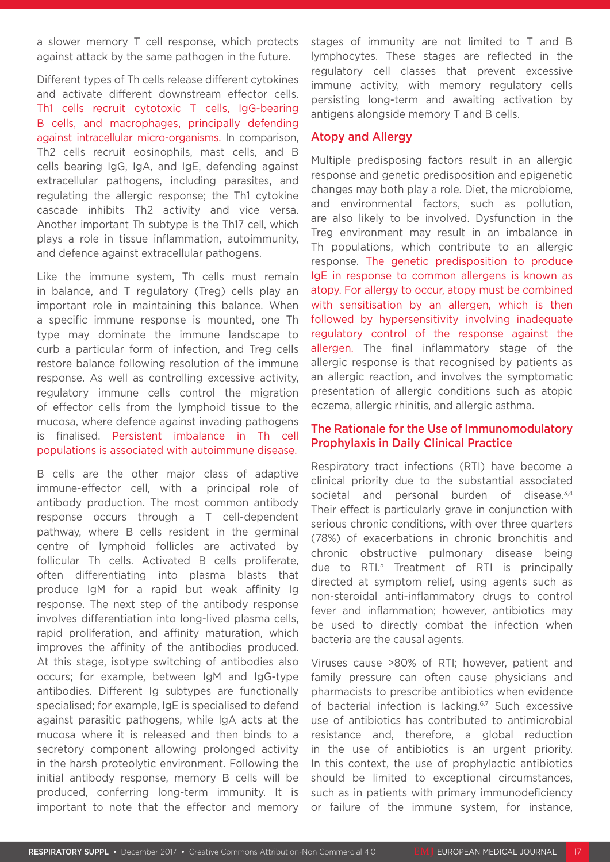a slower memory T cell response, which protects against attack by the same pathogen in the future.

Different types of Th cells release different cytokines and activate different downstream effector cells. Th1 cells recruit cytotoxic T cells, IgG-bearing B cells, and macrophages, principally defending against intracellular micro-organisms. In comparison, Th2 cells recruit eosinophils, mast cells, and B cells bearing IgG, IgA, and IgE, defending against extracellular pathogens, including parasites, and regulating the allergic response; the Th1 cytokine cascade inhibits Th2 activity and vice versa. Another important Th subtype is the Th17 cell, which plays a role in tissue inflammation, autoimmunity, and defence against extracellular pathogens.

Like the immune system, Th cells must remain in balance, and T regulatory (Treg) cells play an important role in maintaining this balance. When a specific immune response is mounted, one Th type may dominate the immune landscape to curb a particular form of infection, and Treg cells restore balance following resolution of the immune response. As well as controlling excessive activity, regulatory immune cells control the migration of effector cells from the lymphoid tissue to the mucosa, where defence against invading pathogens is finalised. Persistent imbalance in Th cell populations is associated with autoimmune disease.

B cells are the other major class of adaptive immune-effector cell, with a principal role of antibody production. The most common antibody response occurs through a T cell-dependent pathway, where B cells resident in the germinal centre of lymphoid follicles are activated by follicular Th cells. Activated B cells proliferate, often differentiating into plasma blasts that produce IgM for a rapid but weak affinity Ig response. The next step of the antibody response involves differentiation into long-lived plasma cells, rapid proliferation, and affinity maturation, which improves the affinity of the antibodies produced. At this stage, isotype switching of antibodies also occurs; for example, between IgM and IgG-type antibodies. Different Ig subtypes are functionally specialised; for example, IgE is specialised to defend against parasitic pathogens, while IgA acts at the mucosa where it is released and then binds to a secretory component allowing prolonged activity in the harsh proteolytic environment. Following the initial antibody response, memory B cells will be produced, conferring long-term immunity. It is important to note that the effector and memory

stages of immunity are not limited to T and B lymphocytes. These stages are reflected in the regulatory cell classes that prevent excessive immune activity, with memory regulatory cells persisting long-term and awaiting activation by antigens alongside memory T and B cells.

#### Atopy and Allergy

Multiple predisposing factors result in an allergic response and genetic predisposition and epigenetic changes may both play a role. Diet, the microbiome, and environmental factors, such as pollution, are also likely to be involved. Dysfunction in the Treg environment may result in an imbalance in Th populations, which contribute to an allergic response. The genetic predisposition to produce IgE in response to common allergens is known as atopy. For allergy to occur, atopy must be combined with sensitisation by an allergen, which is then followed by hypersensitivity involving inadequate regulatory control of the response against the allergen. The final inflammatory stage of the allergic response is that recognised by patients as an allergic reaction, and involves the symptomatic presentation of allergic conditions such as atopic eczema, allergic rhinitis, and allergic asthma.

## The Rationale for the Use of Immunomodulatory Prophylaxis in Daily Clinical Practice

Respiratory tract infections (RTI) have become a clinical priority due to the substantial associated societal and personal burden of disease.<sup>3,4</sup> Their effect is particularly grave in conjunction with serious chronic conditions, with over three quarters (78%) of exacerbations in chronic bronchitis and chronic obstructive pulmonary disease being due to RTI.5 Treatment of RTI is principally directed at symptom relief, using agents such as non-steroidal anti-inflammatory drugs to control fever and inflammation; however, antibiotics may be used to directly combat the infection when bacteria are the causal agents.

Viruses cause >80% of RTI; however, patient and family pressure can often cause physicians and pharmacists to prescribe antibiotics when evidence of bacterial infection is lacking.<sup>6,7</sup> Such excessive use of antibiotics has contributed to antimicrobial resistance and, therefore, a global reduction in the use of antibiotics is an urgent priority. In this context, the use of prophylactic antibiotics should be limited to exceptional circumstances, such as in patients with primary immunodeficiency or failure of the immune system, for instance,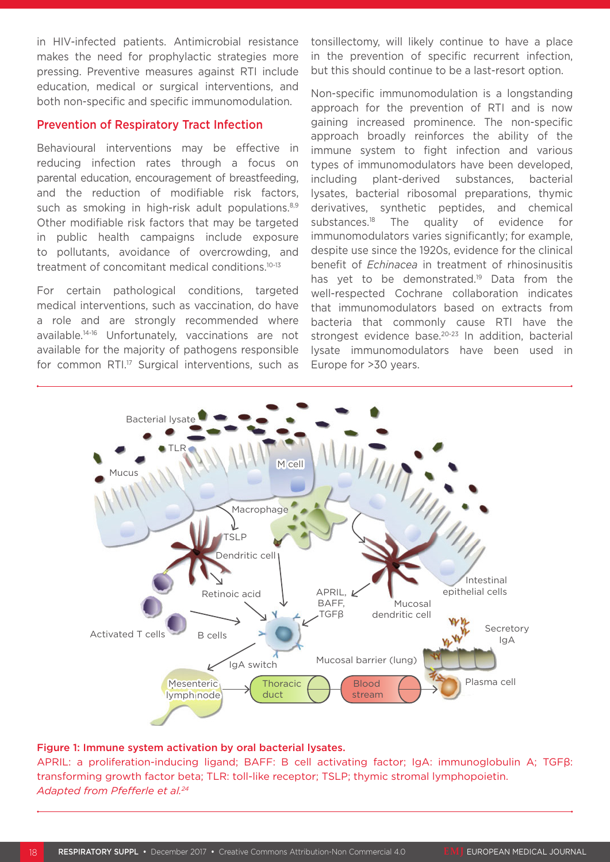in HIV-infected patients. Antimicrobial resistance makes the need for prophylactic strategies more pressing. Preventive measures against RTI include education, medical or surgical interventions, and both non-specific and specific immunomodulation.

#### Prevention of Respiratory Tract Infection

Behavioural interventions may be effective in reducing infection rates through a focus on parental education, encouragement of breastfeeding, and the reduction of modifiable risk factors, such as smoking in high-risk adult populations.<sup>8,9</sup> Other modifiable risk factors that may be targeted in public health campaigns include exposure to pollutants, avoidance of overcrowding, and treatment of concomitant medical conditions.10-13

For certain pathological conditions, targeted medical interventions, such as vaccination, do have a role and are strongly recommended where available.14-16 Unfortunately, vaccinations are not available for the majority of pathogens responsible for common RTI.<sup>17</sup> Surgical interventions, such as

tonsillectomy, will likely continue to have a place in the prevention of specific recurrent infection, but this should continue to be a last-resort option.

Non-specific immunomodulation is a longstanding approach for the prevention of RTI and is now gaining increased prominence. The non-specific approach broadly reinforces the ability of the immune system to fight infection and various types of immunomodulators have been developed, including plant-derived substances, bacterial lysates, bacterial ribosomal preparations, thymic derivatives, synthetic peptides, and chemical substances.18 The quality of evidence for immunomodulators varies significantly; for example, despite use since the 1920s, evidence for the clinical benefit of *Echinacea* in treatment of rhinosinusitis has yet to be demonstrated.<sup>19</sup> Data from the well-respected Cochrane collaboration indicates that immunomodulators based on extracts from bacteria that commonly cause RTI have the strongest evidence base.<sup>20-23</sup> In addition, bacterial lysate immunomodulators have been used in Europe for >30 years.



#### Figure 1: Immune system activation by oral bacterial lysates.

APRIL: a proliferation-inducing ligand; BAFF: B cell activating factor; IgA: immunoglobulin A; TGFβ: transforming growth factor beta; TLR: toll-like receptor; TSLP; thymic stromal lymphopoietin. *Adapted from Pfefferle et al.24*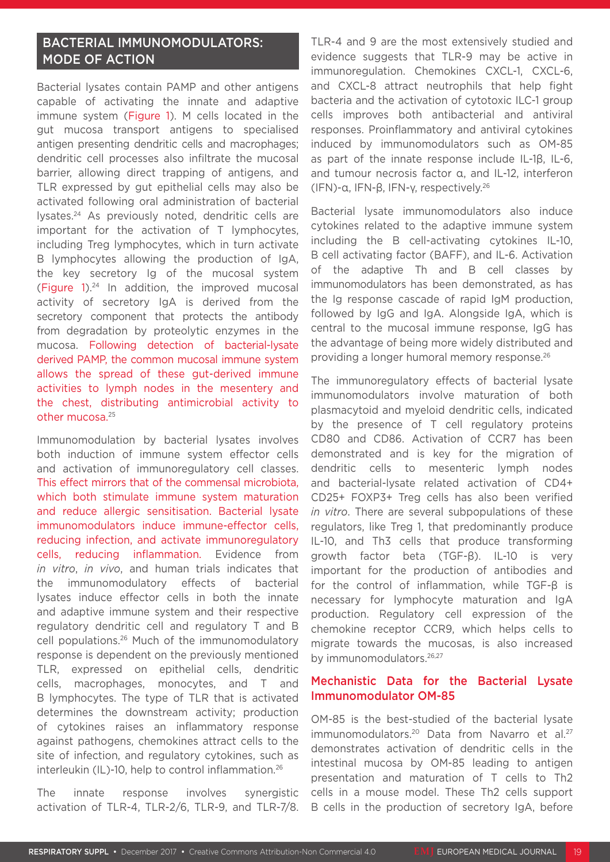# BACTERIAL IMMUNOMODULATORS: MODE OF ACTION

Bacterial lysates contain PAMP and other antigens capable of activating the innate and adaptive immune system (Figure 1). M cells located in the gut mucosa transport antigens to specialised antigen presenting dendritic cells and macrophages; dendritic cell processes also infiltrate the mucosal barrier, allowing direct trapping of antigens, and TLR expressed by gut epithelial cells may also be activated following oral administration of bacterial lysates.24 As previously noted, dendritic cells are important for the activation of T lymphocytes, including Treg lymphocytes, which in turn activate B lymphocytes allowing the production of IgA, the key secretory Ig of the mucosal system (Figure  $1$ ).<sup>24</sup> In addition, the improved mucosal activity of secretory IgA is derived from the secretory component that protects the antibody from degradation by proteolytic enzymes in the mucosa. Following detection of bacterial-lysate derived PAMP, the common mucosal immune system allows the spread of these gut-derived immune activities to lymph nodes in the mesentery and the chest, distributing antimicrobial activity to other mucosa.25

Immunomodulation by bacterial lysates involves both induction of immune system effector cells and activation of immunoregulatory cell classes. This effect mirrors that of the commensal microbiota, which both stimulate immune system maturation and reduce allergic sensitisation. Bacterial lysate immunomodulators induce immune-effector cells, reducing infection, and activate immunoregulatory cells, reducing inflammation. Evidence from *in vitro*, *in vivo*, and human trials indicates that the immunomodulatory effects of bacterial lysates induce effector cells in both the innate and adaptive immune system and their respective regulatory dendritic cell and regulatory T and B cell populations.26 Much of the immunomodulatory response is dependent on the previously mentioned TLR, expressed on epithelial cells, dendritic cells, macrophages, monocytes, and T and B lymphocytes. The type of TLR that is activated determines the downstream activity; production of cytokines raises an inflammatory response against pathogens, chemokines attract cells to the site of infection, and regulatory cytokines, such as interleukin (IL)-10, help to control inflammation.26

The innate response involves synergistic activation of TLR-4, TLR-2/6, TLR-9, and TLR-7/8. TLR-4 and 9 are the most extensively studied and evidence suggests that TLR-9 may be active in immunoregulation. Chemokines CXCL-1, CXCL-6, and CXCL-8 attract neutrophils that help fight bacteria and the activation of cytotoxic ILC-1 group cells improves both antibacterial and antiviral responses. Proinflammatory and antiviral cytokines induced by immunomodulators such as OM-85 as part of the innate response include IL-1β, IL-6, and tumour necrosis factor α, and IL-12, interferon (IFN)-α, IFN-β, IFN-γ, respectively.26

Bacterial lysate immunomodulators also induce cytokines related to the adaptive immune system including the B cell-activating cytokines IL-10, B cell activating factor (BAFF), and IL-6. Activation of the adaptive Th and B cell classes by immunomodulators has been demonstrated, as has the Ig response cascade of rapid IgM production, followed by IgG and IgA. Alongside IgA, which is central to the mucosal immune response, IgG has the advantage of being more widely distributed and providing a longer humoral memory response.26

The immunoregulatory effects of bacterial lysate immunomodulators involve maturation of both plasmacytoid and myeloid dendritic cells, indicated by the presence of T cell regulatory proteins CD80 and CD86. Activation of CCR7 has been demonstrated and is key for the migration of dendritic cells to mesenteric lymph nodes and bacterial-lysate related activation of CD4+ CD25+ FOXP3+ Treg cells has also been verified *in vitro*. There are several subpopulations of these regulators, like Treg 1, that predominantly produce IL-10, and Th3 cells that produce transforming growth factor beta (TGF-β). IL-10 is very important for the production of antibodies and for the control of inflammation, while TGF-β is necessary for lymphocyte maturation and IgA production. Regulatory cell expression of the chemokine receptor CCR9, which helps cells to migrate towards the mucosas, is also increased by immunomodulators.<sup>26,27</sup>

### Mechanistic Data for the Bacterial Lysate Immunomodulator OM-85

OM-85 is the best-studied of the bacterial lysate immunomodulators.<sup>20</sup> Data from Navarro et al.<sup>27</sup> demonstrates activation of dendritic cells in the intestinal mucosa by OM-85 leading to antigen presentation and maturation of T cells to Th2 cells in a mouse model. These Th2 cells support B cells in the production of secretory IgA, before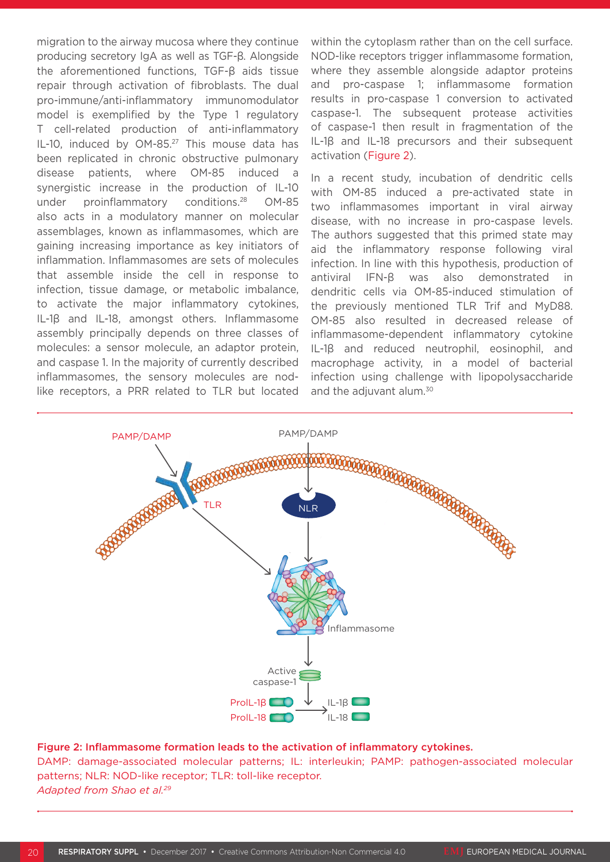migration to the airway mucosa where they continue producing secretory IgA as well as TGF-β. Alongside the aforementioned functions, TGF-β aids tissue repair through activation of fibroblasts. The dual pro-immune/anti-inflammatory immunomodulator model is exemplified by the Type 1 regulatory T cell-related production of anti-inflammatory IL-10, induced by OM-85.<sup>27</sup> This mouse data has been replicated in chronic obstructive pulmonary disease patients, where OM-85 induced a synergistic increase in the production of IL-10 under proinflammatory conditions.<sup>28</sup> OM-85 also acts in a modulatory manner on molecular assemblages, known as inflammasomes, which are gaining increasing importance as key initiators of inflammation. Inflammasomes are sets of molecules that assemble inside the cell in response to infection, tissue damage, or metabolic imbalance, to activate the major inflammatory cytokines, IL-1β and IL-18, amongst others. Inflammasome assembly principally depends on three classes of molecules: a sensor molecule, an adaptor protein, and caspase 1. In the majority of currently described inflammasomes, the sensory molecules are nodlike receptors, a PRR related to TLR but located

within the cytoplasm rather than on the cell surface. NOD-like receptors trigger inflammasome formation, where they assemble alongside adaptor proteins and pro-caspase 1; inflammasome formation results in pro-caspase 1 conversion to activated caspase-1. The subsequent protease activities of caspase-1 then result in fragmentation of the IL-1β and IL-18 precursors and their subsequent activation (Figure 2).

In a recent study, incubation of dendritic cells with OM-85 induced a pre-activated state in two inflammasomes important in viral airway disease, with no increase in pro-caspase levels. The authors suggested that this primed state may aid the inflammatory response following viral infection. In line with this hypothesis, production of antiviral IFN-β was also demonstrated in dendritic cells via OM-85-induced stimulation of the previously mentioned TLR Trif and MyD88. OM-85 also resulted in decreased release of inflammasome-dependent inflammatory cytokine IL-1β and reduced neutrophil, eosinophil, and macrophage activity, in a model of bacterial infection using challenge with lipopolysaccharide and the adjuvant alum.<sup>30</sup>



#### Figure 2: Inflammasome formation leads to the activation of inflammatory cytokines.

DAMP: damage-associated molecular patterns; IL: interleukin; PAMP: pathogen-associated molecular patterns; NLR: NOD-like receptor; TLR: toll-like receptor. *Adapted from Shao et al.29*